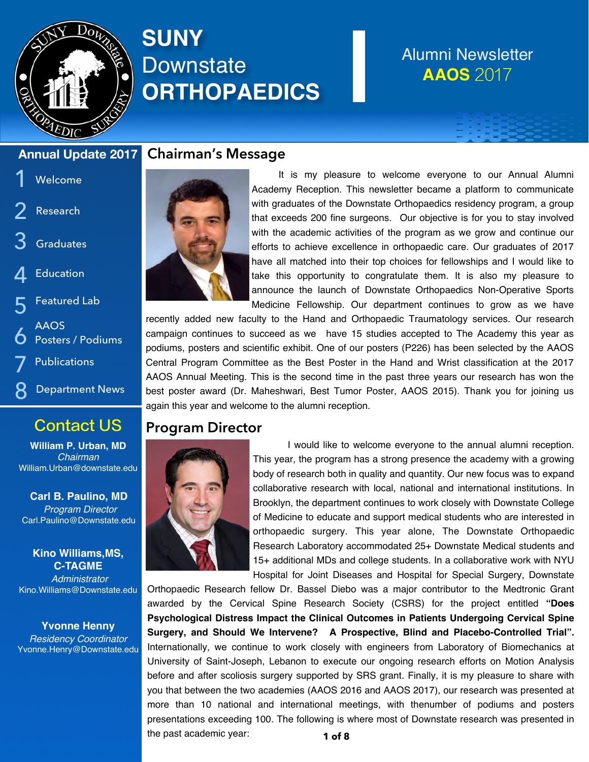

# **SUNY Downstate ORTHOPAEDICS**

# Alumni Newsletter **AAOS** 2017

## **Annual Update 2017**

### 1 Welcome

- 2 Research
- 3 **Graduates**
- 4 Education
- 5 Featured Lab
- 6 AAOS Posters / Podiums
- 7 **Publications**
- Department News 8

# Contact US

**William P. Urban, MD** *Chairman* William.Urban@downstate.edu

**Carl B. Paulino, MD**  *Program Director* Carl.Paulino@Downstate.edu

**Kino Williams,MS, C-TAGME** *Administrator*  Kino.Williams@Downstate.edu

**Yvonne Henny** *Residency Coordinator* Yvonne.Henry@Downstate.edu

## **Chairman's Message**



It is my pleasure to welcome everyone to our Annual Alumni Academy Reception. This newsletter became a platform to communicate with graduates of the Downstate Orthopaedics residency program, a group that exceeds 200 fine surgeons. Our objective is for you to stay involved with the academic activities of the program as we grow and continue our efforts to achieve excellence in orthopaedic care. Our graduates of 2017 have all matched into their top choices for fellowships and I would like to take this opportunity to congratulate them. It is also my pleasure to announce the launch of Downstate Orthopaedics Non-Operative Sports Medicine Fellowship. Our department continues to grow as we have

recently added new faculty to the Hand and Orthopaedic Traumatology services. Our research campaign continues to succeed as we have 15 studies accepted to The Academy this year as podiums, posters and scientific exhibit. One of our posters (P226) has been selected by the AAOS Central Program Committee as the Best Poster in the Hand and Wrist classification at the 2017 AAOS Annual Meeting. This is the second time in the past three years our research has won the best poster award (Dr. Maheshwari, Best Tumor Poster, AAOS 2015). Thank you for joining us again this year and welcome to the alumni reception.

## **Program Director**



I would like to welcome everyone to the annual alumni reception. This year, the program has a strong presence the academy with a growing body of research both in quality and quantity. Our new focus was to expand collaborative research with local, national and international institutions. In Brooklyn, the department continues to work closely with Downstate College of Medicine to educate and support medical students who are interested in orthopaedic surgery. This year alone, The Downstate Orthopaedic Research Laboratory accommodated 25+ Downstate Medical students and 15+ additional MDs and college students. In a collaborative work with NYU Hospital for Joint Diseases and Hospital for Special Surgery, Downstate

Orthopaedic Research fellow Dr. Bassel Diebo was a major contributor to the Medtronic Grant awarded by the Cervical Spine Research Society (CSRS) for the project entitled **"Does Psychological Distress Impact the Clinical Outcomes in Patients Undergoing Cervical Spine Surgery, and Should We Intervene? A Prospective, Blind and Placebo-Controlled Trial".** Internationally, we continue to work closely with engineers from Laboratory of Biomechanics at University of Saint-Joseph, Lebanon to execute our ongoing research efforts on Motion Analysis before and after scoliosis surgery supported by SRS grant. Finally, it is my pleasure to share with you that between the two academies (AAOS 2016 and AAOS 2017), our research was presented at more than 10 national and international meetings, with thenumber of podiums and posters presentations exceeding 100. The following is where most of Downstate research was presented in the past academic year: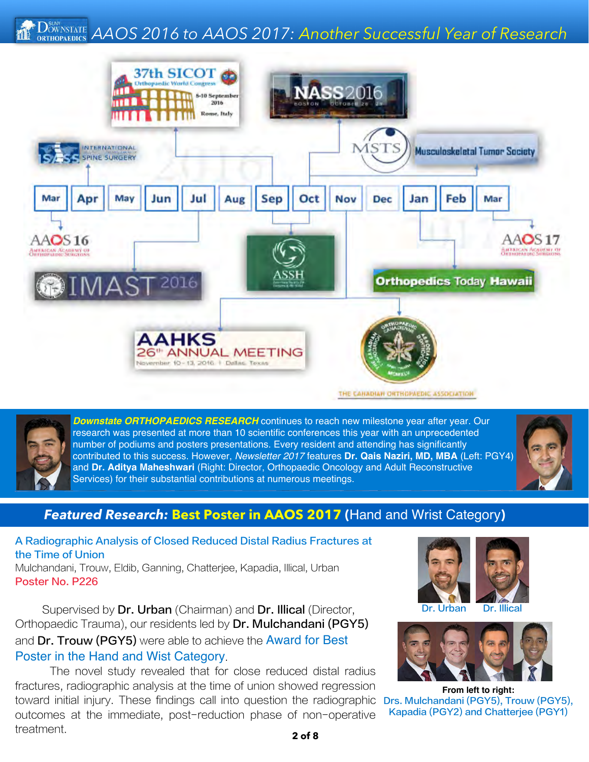### *OWENSTATE AAOS 2016 to AAOS 2017: Another Successful Year of Research* **RTHOPAEDICS**





*Downstate ORTHOPAEDICS RESEARCH* continues to reach new milestone year after year. Our research was presented at more than 10 scientific conferences this year with an unprecedented number of podiums and posters presentations. Every resident and attending has significantly contributed to this success. However, *Newsletter 2017* features **Dr. Qais Naziri, MD, MBA** (Left: PGY4) and **Dr. Aditya Maheshwari** (Right: Director, Orthopaedic Oncology and Adult Reconstructive Services) for their substantial contributions at numerous meetings.



## *Featured Research:* **Best Poster in AAOS 2017 (**Hand and Wrist Category**)**

A Radiographic Analysis of Closed Reduced Distal Radius Fractures at the Time of Union

Mulchandani, Trouw, Eldib, Ganning, Chatterjee, Kapadia, Illical, Urban Poster No. P226

Supervised by Dr. Urban (Chairman) and Dr. Illical (Director, Orthopaedic Trauma), our residents led by Dr. Mulchandani (PGY5) and Dr. Trouw (PGY5) were able to achieve the Award for Best Poster in the Hand and Wist Category.

The novel study revealed that for close reduced distal radius fractures, radiographic analysis at the time of union showed regression toward initial injury. These findings call into question the radiographic outcomes at the immediate, post-reduction phase of non-operative treatment.





**From left to right:** Drs. Mulchandani (PGY5), Trouw (PGY5), Kapadia (PGY2) and Chatterjee (PGY1)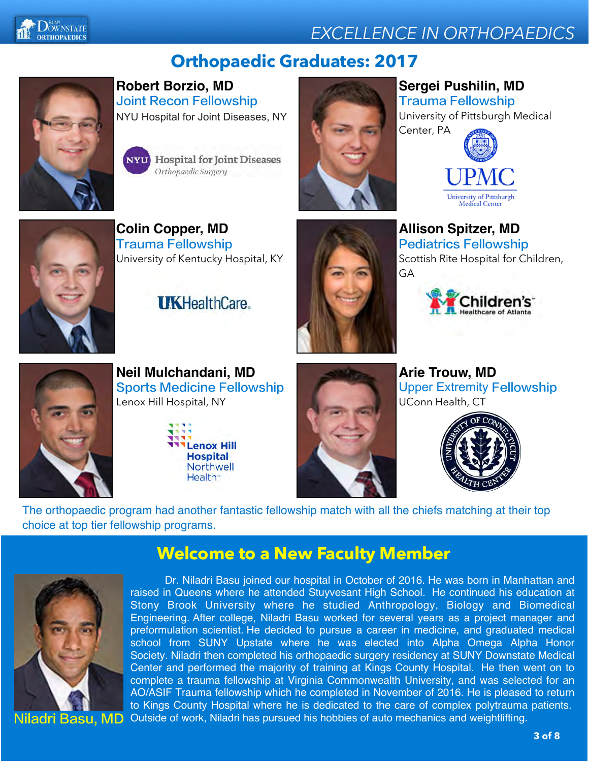



# **Orthopaedic Graduates: 2017**



**Robert Borzio, MD** Joint Recon Fellowship NYU Hospital for Joint Diseases, NY

> **Hospital for Joint Diseases** Orthopaedic Surgery



## **Sergei Pushilin, MD** Trauma Fellowship

University of Pittsburgh Medical





**Colin Copper, MD** Trauma Fellowship University of Kentucky Hospital, KY

**IIKHealthCare** 



**Allison Spitzer, MD** Pediatrics Fellowship Scottish Rite Hospital for Children, GA





**Neil Mulchandani, MD** Sports Medicine Fellowship Lenox Hill Hospital, NY





**Arie Trouw, MD** Upper Extremity Fellowship UConn Health, CT



The orthopaedic program had another fantastic fellowship match with all the chiefs matching at their top choice at top tier fellowship programs.



**Welcome to a New Faculty Member**

Dr. Niladri Basu joined our hospital in October of 2016. He was born in Manhattan and raised in Queens where he attended Stuyvesant High School. He continued his education at Stony Brook University where he studied Anthropology, Biology and Biomedical Engineering. After college, Niladri Basu worked for several years as a project manager and preformulation scientist. He decided to pursue a career in medicine, and graduated medical school from SUNY Upstate where he was elected into Alpha Omega Alpha Honor Society. Niladri then completed his orthopaedic surgery residency at SUNY Downstate Medical Center and performed the majority of training at Kings County Hospital. He then went on to complete a trauma fellowship at Virginia Commonwealth University, and was selected for an AO/ASIF Trauma fellowship which he completed in November of 2016. He is pleased to return to Kings County Hospital where he is dedicated to the care of complex polytrauma patients. Niladri Basu, MD Outside of work, Niladri has pursued his hobbies of auto mechanics and weightlifting.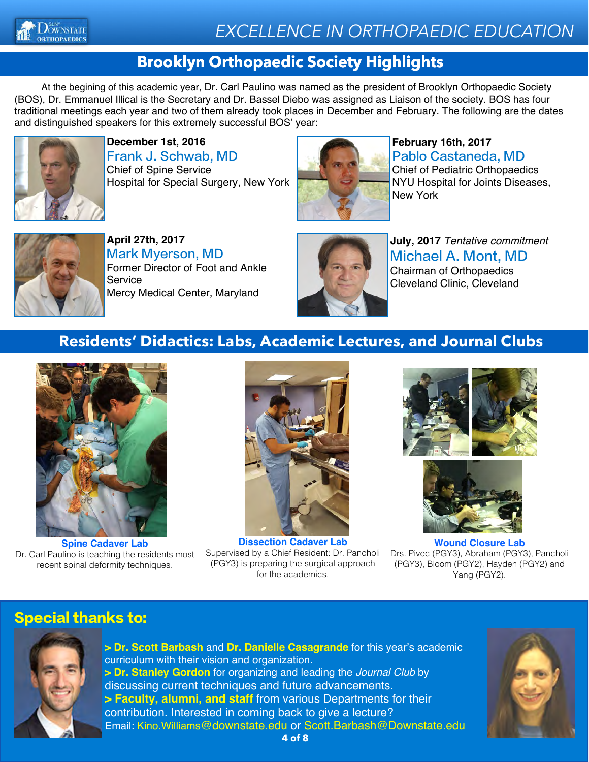

## **Brooklyn Orthopaedic Society Highlights**

At the begining of this academic year, Dr. Carl Paulino was named as the president of Brooklyn Orthopaedic Society (BOS), Dr. Emmanuel Illical is the Secretary and Dr. Bassel Diebo was assigned as Liaison of the society. BOS has four traditional meetings each year and two of them already took places in December and February. The following are the dates and distinguished speakers for this extremely successful BOS' year:



**December 1st, 2016** Frank J. Schwab, MD Chief of Spine Service Hospital for Special Surgery, New York



**February 16th, 2017** Pablo Castaneda, MD Chief of Pediatric Orthopaedics NYU Hospital for Joints Diseases, New York



**April 27th, 2017** Mark Myerson, MD Former Director of Foot and Ankle Service Mercy Medical Center, Maryland



**July, 2017** *Tentative commitment* Michael A. Mont, MD Chairman of Orthopaedics Cleveland Clinic, Cleveland

## **Residents' Didactics: Labs, Academic Lectures, and Journal Clubs**



**Spine Cadaver Lab** Dr. Carl Paulino is teaching the residents most recent spinal deformity techniques.



**Dissection Cadaver Lab** Supervised by a Chief Resident: Dr. Pancholi (PGY3) is preparing the surgical approach for the academics.





**Wound Closure Lab** Drs. Pivec (PGY3), Abraham (PGY3), Pancholi (PGY3), Bloom (PGY2), Hayden (PGY2) and Yang (PGY2).

## Special thanks to:



**> Dr. Scott Barbash** and **Dr. Danielle Casagrande** for this year's academic curriculum with their vision and organization. **> Dr. Stanley Gordon** for organizing and leading the *Journal Club* by discussing current techniques and future advancements. **> Faculty, alumni, and staff** from various Departments for their contribution. Interested in coming back to give a lecture? Email: Kino.Williams@downstate.edu or Scott.Barbash@Downstate.edu

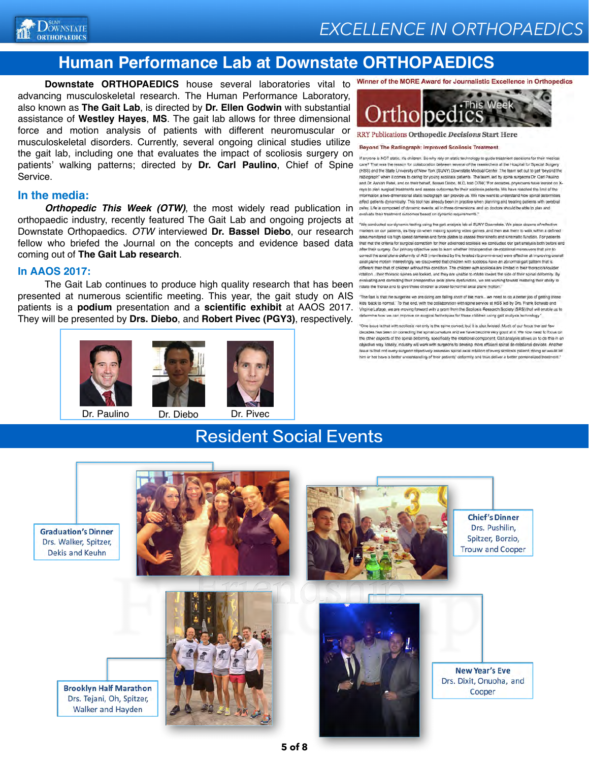

## **Human Performance Lab at Downstate ORTHOPAEDICS**

**Downstate ORTHOPAEDICS** house several laboratories vital to advancing musculoskeletal research. The Human Performance Laboratory, also known as **The Gait Lab**, is directed by **Dr. Ellen Godwin** with substantial assistance of **Westley Hayes**, **MS**. The gait lab allows for three dimensional force and motion analysis of patients with different neuromuscular or musculoskeletal disorders. Currently, several ongoing clinical studies utilize the gait lab, including one that evaluates the impact of scoliosis surgery on patients' walking patterns; directed by **Dr. Carl Paulino**, Chief of Spine Service.

#### **In the media:**

*Orthopedic This Week (OTW)*, the most widely read publication in orthopaedic industry, recently featured The Gait Lab and ongoing projects at Downstate Orthopaedics. *OTW* interviewed **Dr. Bassel Diebo**, our research fellow who briefed the Journal on the concepts and evidence based data coming out of **The Gait Lab research**.

#### **In AAOS 2017:**

The Gait Lab continues to produce high quality research that has been we have the those and the group of the control and the product and the product and the product and the product and the product and the product and the p presented at numerous scientific meeting. This year, the gait study on AIS patients is a **podium** presentation and a **scientific exhibit** at AAOS 2017. They will be presented by **Drs. Diebo**, and **Robert Pivec (PGY3)**, respectively.





Dr. Paulino Dr. Diebo Dr. Pivec

Winner of the MORE Award for Journalistic Excellence in Orthopedics



RRY Publications Orthopedic Decisions Start Here

#### Beyond The Radiograph: Improved Scollosis Treatment

If anyone is NOT static, it's children. So why rely on static technology to guide treatment decisions for their medical care? That was the reason for collaboration between several of the researchers at the Hospital for Special Surgery (HSS) and the State University of New York (SUNY) Downstate Medical Center. The team set out to get "beyond the radiograph" when it comes to caring for young scolides patients. The team, and by spine surgeons Dr. Carl Paulino and Dr. Ashian Patel, and on their behalf, Bassel Diebo, M.D. told OTW, The dece es, physicians have leaned on Xrays to plan surgical treatments and assess outcomes for their scollosis patients. We have reached the limit of the information a two-dimensional static radiograph can provide us. We now want to understand how spinal deformities palsy. Life is composed of dynamic events, all in three dimensions, and so doctors should be able to plan and valuate their treatment outcomes based on dynamic requirements."

"We conducted our dynamic testing using the gait analysis lab at SUNY Downstate. We place dozens of ref markers on our patients, as they do when making sporting video games, and then ask them to walk within a defined<br>area monitored via high speed cameras and force plates to assess their kinetic and kinematic function. For pa that met the criteria for surgical correction for their advanced scollosis we conducted our gait analysis both before and after their surgery. Our primary objective was to learn whether intraoperative de-rotational maneuvers that aim to correct the axial plane deformity of AIS (manifested by the twisted rib prominence) were effective at improving overall axial plane motion interestingly, we discovered that children with scoliosis have an abnormal gait pattern that different than that of children without this condition. The children with scollosis are limited in their thoracic/shoulder rotation... their thoracic spines are locked, and they are unable to rotate loward the side of their spinal deformity. By evaluating and correcting their preoperative axial plane dysfunction, we are working toward restoring their ability to

The fact is that the surgeries we are doing are failing short of the mark... we need to do a better job of getting these kids 'back to normal.' To that end, with the collaboration with spine service at HSS led by Drs. Frank Schwab and Virginie Latage, we are moving forward with a grant from the Scoliasis Research Society (SRS) that will enable us to determine how we can improve on surgical techniques for these children using galf analysis tech vigotor

"One issue is that with scollosis not only is the spine curved, but it is also twisted. Much of our focus the last few decades has been on connecting the spinal curvature and we have become very good at it. We now need to focus on<br>the other aspects of the spinal deformity, specifically the retational component. Galt analysis allows us to d objective way Ideally, industry will work with surgeons to develop more efficient spinal de-rotational devices. Another ue is that not every surgeon objectively assesses spinal axial rolation of every scoliosis patient; doing so would let him or her have a better understanding of their patients' deformity and thus deliver a better personalized treatment."



Resident Social Events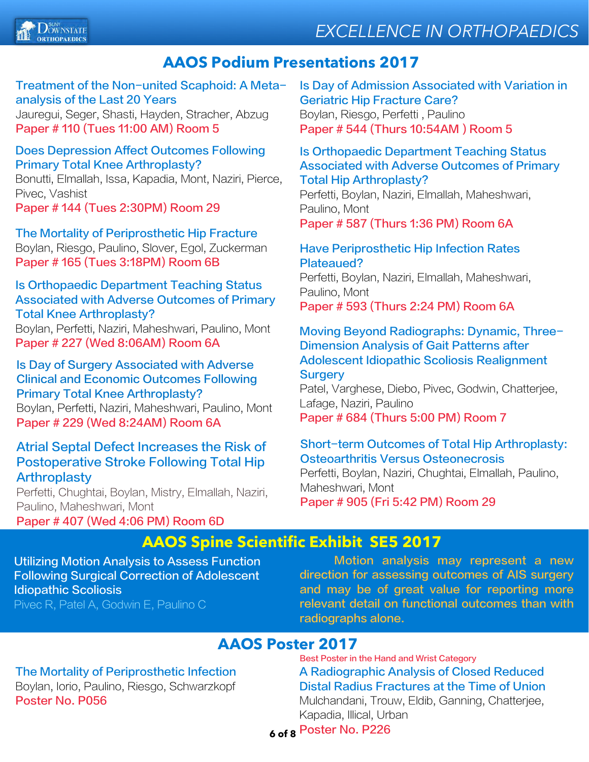# *EXCELLENCE IN ORTHOPAEDICS*



## **AAOS Podium Presentations 2017**

### Treatment of the Non-united Scaphoid: A Metaanalysis of the Last 20 Years

Jauregui, Seger, Shasti, Hayden, Stracher, Abzug Paper # 110 (Tues 11:00 AM) Room 5

### Does Depression Affect Outcomes Following Primary Total Knee Arthroplasty?

Bonutti, Elmallah, Issa, Kapadia, Mont, Naziri, Pierce, Pivec, Vashist Paper # 144 (Tues 2:30PM) Room 29

The Mortality of Periprosthetic Hip Fracture Boylan, Riesgo, Paulino, Slover, Egol, Zuckerman Paper # 165 (Tues 3:18PM) Room 6B

### Is Orthopaedic Department Teaching Status Associated with Adverse Outcomes of Primary Total Knee Arthroplasty?

Boylan, Perfetti, Naziri, Maheshwari, Paulino, Mont Paper # 227 (Wed 8:06AM) Room 6A

### Is Day of Surgery Associated with Adverse Clinical and Economic Outcomes Following Primary Total Knee Arthroplasty?

Boylan, Perfetti, Naziri, Maheshwari, Paulino, Mont Paper # 229 (Wed 8:24AM) Room 6A

### Atrial Septal Defect Increases the Risk of Postoperative Stroke Following Total Hip **Arthroplasty**

Perfetti, Chughtai, Boylan, Mistry, Elmallah, Naziri, Paulino, Maheshwari, Mont

### Paper # 407 (Wed 4:06 PM) Room 6D

Is Day of Admission Associated with Variation in Geriatric Hip Fracture Care? Boylan, Riesgo, Perfetti , Paulino Paper # 544 (Thurs 10:54AM ) Room 5

### Is Orthopaedic Department Teaching Status Associated with Adverse Outcomes of Primary Total Hip Arthroplasty?

Perfetti, Boylan, Naziri, Elmallah, Maheshwari, Paulino, Mont Paper # 587 (Thurs 1:36 PM) Room 6A

### Have Periprosthetic Hip Infection Rates Plateaued?

Perfetti, Boylan, Naziri, Elmallah, Maheshwari, Paulino, Mont Paper # 593 (Thurs 2:24 PM) Room 6A

### Moving Beyond Radiographs: Dynamic, Three-Dimension Analysis of Gait Patterns after Adolescent Idiopathic Scoliosis Realignment **Surgery**

Patel, Varghese, Diebo, Pivec, Godwin, Chatterjee, Lafage, Naziri, Paulino Paper # 684 (Thurs 5:00 PM) Room 7

### Short-term Outcomes of Total Hip Arthroplasty: Osteoarthritis Versus Osteonecrosis

Perfetti, Boylan, Naziri, Chughtai, Elmallah, Paulino, Maheshwari, Mont

Paper # 905 (Fri 5:42 PM) Room 29

## **AAOS Spine Scientific Exhibit SE5 2017**

Utilizing Motion Analysis to Assess Function Following Surgical Correction of Adolescent Idiopathic Scoliosis Pivec R, Patel A, Godwin E, Paulino C

Motion analysis may represent a new direction for assessing outcomes of AIS surgery and may be of great value for reporting more relevant detail on functional outcomes than with radiographs alone.

## **AAOS Poster 2017**

### The Mortality of Periprosthetic Infection Boylan, Iorio, Paulino, Riesgo, Schwarzkopf Poster No. P056

A Radiographic Analysis of Closed Reduced Distal Radius Fractures at the Time of Union Mulchandani, Trouw, Eldib, Ganning, Chatterjee, Kapadia, Illical, Urban Best Poster in the Hand and Wrist Category

## **6** Poster No. P226 **6 of 8**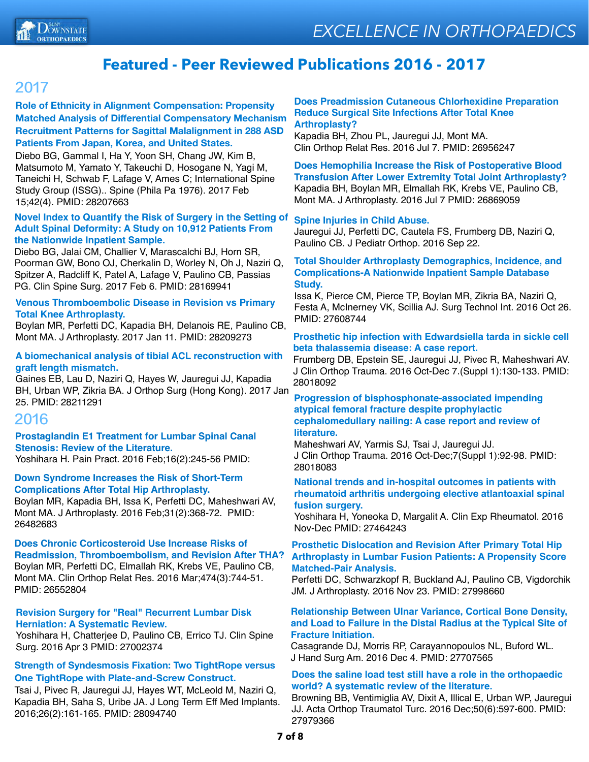

## **Featured - Peer Reviewed Publications 2016 - 2017**

## 2017

**Role of Ethnicity in Alignment Compensation: Propensity Matched Analysis of Differential Compensatory Mechanism Recruitment Patterns for Sagittal Malalignment in 288 ASD Patients From Japan, Korea, and United States.**

Diebo BG, Gammal I, Ha Y, Yoon SH, Chang JW, Kim B, Matsumoto M, Yamato Y, Takeuchi D, Hosogane N, Yagi M, Taneichi H, Schwab F, Lafage V, Ames C; International Spine Study Group (ISSG).. Spine (Phila Pa 1976). 2017 Feb 15;42(4). PMID: 28207663

### **Novel Index to Quantify the Risk of Surgery in the Setting of Adult Spinal Deformity: A Study on 10,912 Patients From the Nationwide Inpatient Sample.**

Diebo BG, Jalai CM, Challier V, Marascalchi BJ, Horn SR, Poorman GW, Bono OJ, Cherkalin D, Worley N, Oh J, Naziri Q, Spitzer A, Radcliff K, Patel A, Lafage V, Paulino CB, Passias PG. Clin Spine Surg. 2017 Feb 6. PMID: 28169941

### **Venous Thromboembolic Disease in Revision vs Primary Total Knee Arthroplasty.**

Boylan MR, Perfetti DC, Kapadia BH, Delanois RE, Paulino CB, Mont MA. J Arthroplasty. 2017 Jan 11. PMID: 28209273

#### **A biomechanical analysis of tibial ACL reconstruction with graft length mismatch.**

Gaines EB, Lau D, Naziri Q, Hayes W, Jauregui JJ, Kapadia BH, Urban WP, Zikria BA. J Orthop Surg (Hong Kong). 2017 Jan 25. PMID: 28211291

### 2016

### **Prostaglandin E1 Treatment for Lumbar Spinal Canal Stenosis: Review of the Literature.**

Yoshihara H. Pain Pract. 2016 Feb;16(2):245-56 PMID:

### **Down Syndrome Increases the Risk of Short-Term Complications After Total Hip Arthroplasty.**

Boylan MR, Kapadia BH, Issa K, Perfetti DC, Maheshwari AV, Mont MA. J Arthroplasty. 2016 Feb;31(2):368-72. PMID: 26482683

**Does Chronic Corticosteroid Use Increase Risks of Readmission, Thromboembolism, and Revision After THA?** Boylan MR, Perfetti DC, Elmallah RK, Krebs VE, Paulino CB, Mont MA. Clin Orthop Relat Res. 2016 Mar;474(3):744-51. PMID: 26552804

#### **Revision Surgery for "Real" Recurrent Lumbar Disk Herniation: A Systematic Review.**

Yoshihara H, Chatterjee D, Paulino CB, Errico TJ. Clin Spine Surg. 2016 Apr 3 PMID: 27002374

### **Strength of Syndesmosis Fixation: Two TightRope versus One TightRope with Plate-and-Screw Construct.**

Tsai J, Pivec R, Jauregui JJ, Hayes WT, McLeold M, Naziri Q, Kapadia BH, Saha S, Uribe JA. J Long Term Eff Med Implants. 2016;26(2):161-165. PMID: 28094740

#### **Does Preadmission Cutaneous Chlorhexidine Preparation Reduce Surgical Site Infections After Total Knee Arthroplasty?**

Kapadia BH, Zhou PL, Jauregui JJ, Mont MA. Clin Orthop Relat Res. 2016 Jul 7. PMID: 26956247

**Does Hemophilia Increase the Risk of Postoperative Blood Transfusion After Lower Extremity Total Joint Arthroplasty?** Kapadia BH, Boylan MR, Elmallah RK, Krebs VE, Paulino CB, Mont MA. J Arthroplasty. 2016 Jul 7 PMID: 26869059

### **Spine Injuries in Child Abuse.**

Jauregui JJ, Perfetti DC, Cautela FS, Frumberg DB, Naziri Q, Paulino CB. J Pediatr Orthop. 2016 Sep 22.

#### **Total Shoulder Arthroplasty Demographics, Incidence, and Complications-A Nationwide Inpatient Sample Database Study.**

Issa K, Pierce CM, Pierce TP, Boylan MR, Zikria BA, Naziri Q, Festa A, McInerney VK, Scillia AJ. Surg Technol Int. 2016 Oct 26. PMID: 27608744

### **Prosthetic hip infection with Edwardsiella tarda in sickle cell beta thalassemia disease: A case report.**

Frumberg DB, Epstein SE, Jauregui JJ, Pivec R, Maheshwari AV. J Clin Orthop Trauma. 2016 Oct-Dec 7.(Suppl 1):130-133. PMID: 28018092

#### **Progression of bisphosphonate-associated impending atypical femoral fracture despite prophylactic cephalomedullary nailing: A case report and review of literature.**

Maheshwari AV, Yarmis SJ, Tsai J, Jauregui JJ. J Clin Orthop Trauma. 2016 Oct-Dec;7(Suppl 1):92-98. PMID: 28018083

#### **National trends and in-hospital outcomes in patients with rheumatoid arthritis undergoing elective atlantoaxial spinal fusion surgery.**

Yoshihara H, Yoneoka D, Margalit A. Clin Exp Rheumatol. 2016 Nov-Dec PMID: 27464243

#### **Prosthetic Dislocation and Revision After Primary Total Hip Arthroplasty in Lumbar Fusion Patients: A Propensity Score Matched-Pair Analysis.**

Perfetti DC, Schwarzkopf R, Buckland AJ, Paulino CB, Vigdorchik JM. J Arthroplasty. 2016 Nov 23. PMID: 27998660

#### **Relationship Between Ulnar Variance, Cortical Bone Density, and Load to Failure in the Distal Radius at the Typical Site of Fracture Initiation.**

Casagrande DJ, Morris RP, Carayannopoulos NL, Buford WL. J Hand Surg Am. 2016 Dec 4. PMID: 27707565

### **Does the saline load test still have a role in the orthopaedic world? A systematic review of the literature.**

Browning BB, Ventimiglia AV, Dixit A, Illical E, Urban WP, Jauregui JJ. Acta Orthop Traumatol Turc. 2016 Dec;50(6):597-600. PMID: 27979366